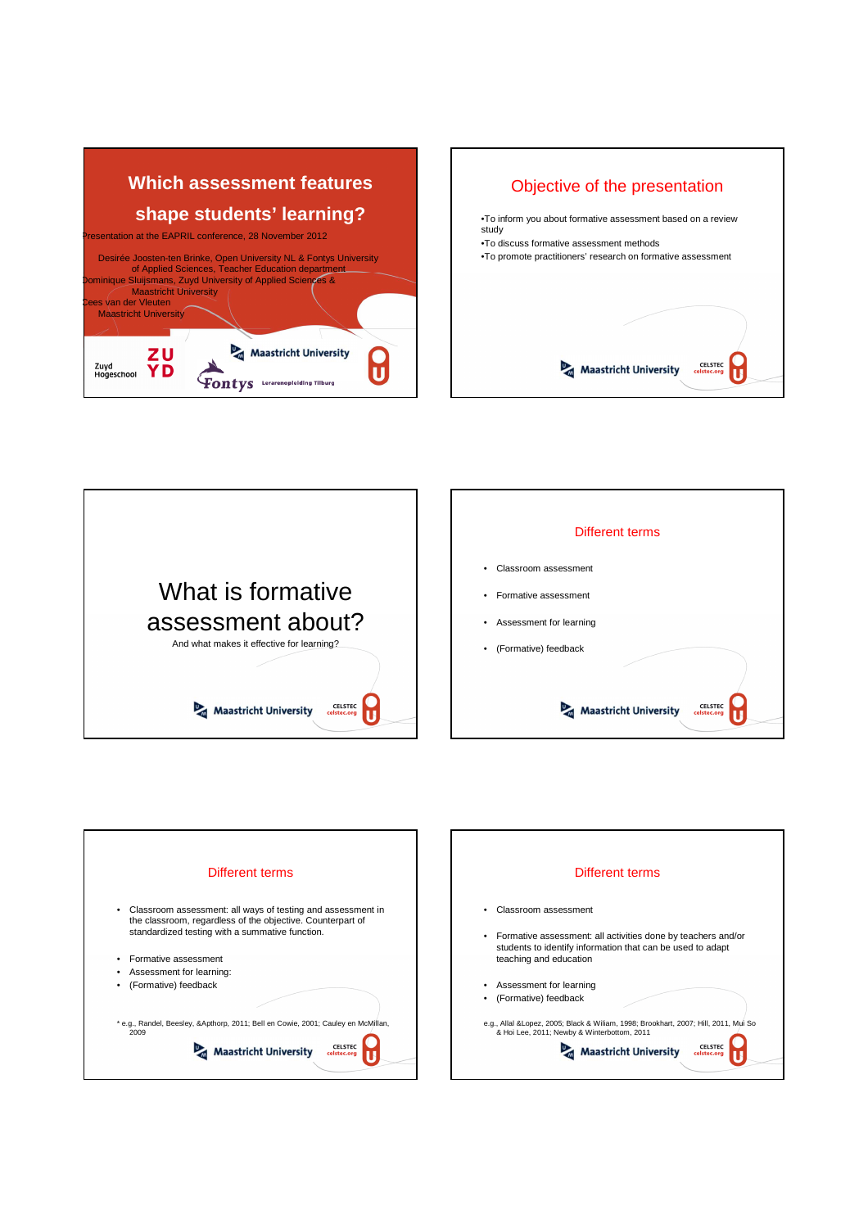







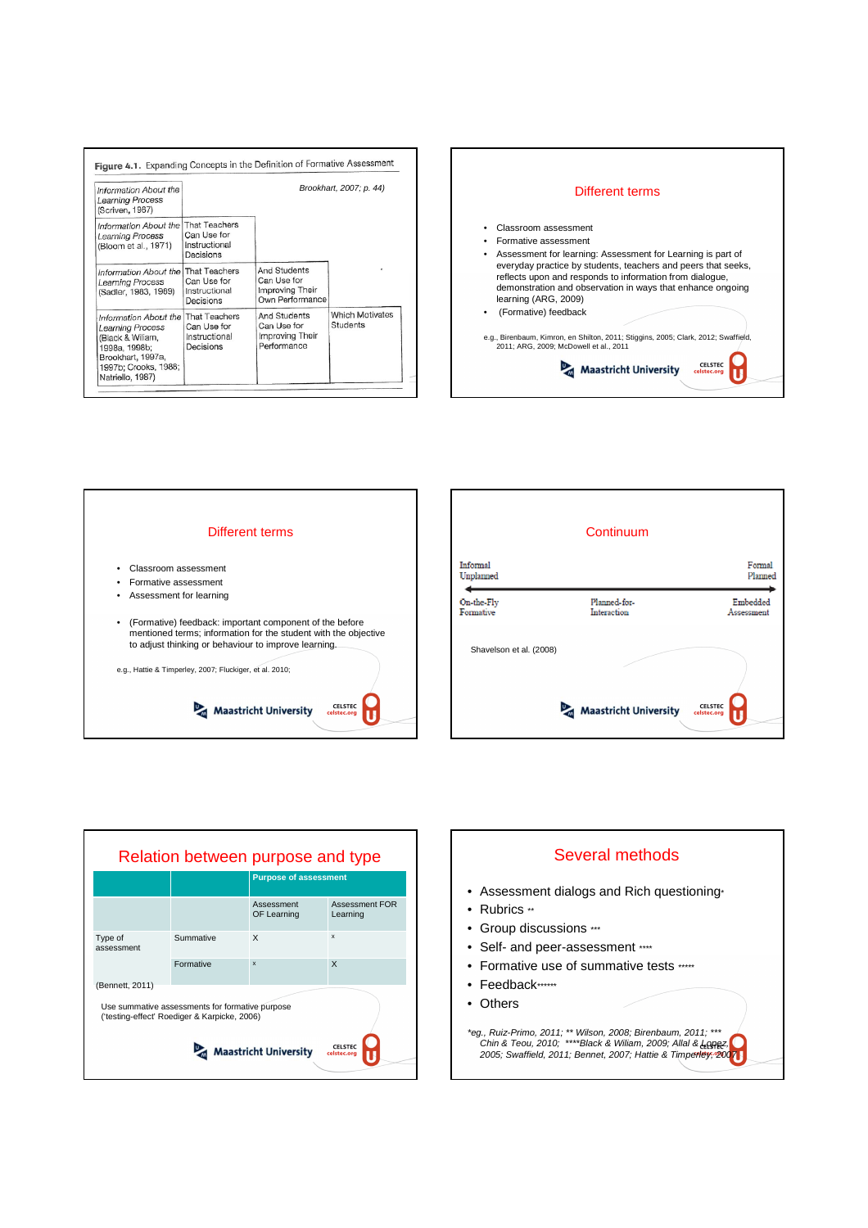| Information About the<br>Learning Process<br>(Scriven, 1967)                                                                                                         | Brookhart, 2007; p. 44)                   |                                                                   |                                    |
|----------------------------------------------------------------------------------------------------------------------------------------------------------------------|-------------------------------------------|-------------------------------------------------------------------|------------------------------------|
| Information About the   That Teachers<br>Learning Process<br>(Bloom et al., 1971)                                                                                    | Can Use for<br>Instructional<br>Decisions |                                                                   |                                    |
| Information About the   That Teachers<br>Learning Process<br>(Sadler, 1983, 1989)                                                                                    | Can Use for<br>Instructional<br>Decisions | And Students<br>Can Use for<br>Improving Their<br>Own Performance |                                    |
| Information About the That Teachers<br><b>Learning Process</b><br>(Black & Wiliam,<br>1998a, 1998b;<br>Brookhart, 1997a,<br>1997b; Crooks, 1988;<br>Natriello, 1987) | Can Use for<br>Instructional<br>Decisions | And Students<br>Can Use for<br>Improving Their<br>Performance     | <b>Which Motivates</b><br>Students |





|                         | Continuum                                                 |                        |
|-------------------------|-----------------------------------------------------------|------------------------|
| Informal<br>Unplanned   |                                                           | Formal<br>Planned      |
| On-the-Fly<br>Formative | Planned-for-<br>Interaction                               | Embedded<br>Assessment |
| Shavelson et al. (2008) |                                                           |                        |
|                         | $\mathbb{D}_{\mathbb{R}}$<br><b>Maastricht University</b> | CELSTEC<br>celstec.org |